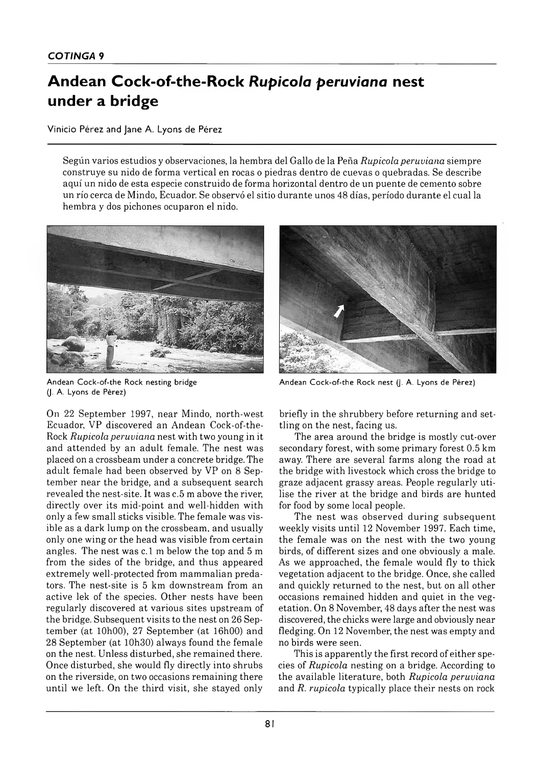## Andean Cock-of-the-Rock Rupicola peruviana nest **under a bridge**

Vinicio Pérez and Jane A. Lyons de Pérez

Según varios estudios y observaciones, la hem bra del Gallo de la Peña *Rupicola peruviana* siempre construye su nido de forma vertical en rocas o piedras dentro de cuevas o quebradas. Se describe aquí un nido de esta especie construido de forma horizontal dentro de un puente de cemento sobre un río cerca de Mindo, Ecuador. Se observó el sitio durante unos 48 días, período durante el cual la hem bra y dos pichones ocuparon el nido.



Andean Cock-of-the Rock nesting bridge (J. A. Lyons de Pérez)

On 22 September 1997, near Mindo, north-west Ecuador, VP discovered an Andean Cock-of-the-Rock *Rupicola peruviana* nest with two young in it and attended by an adult female. The nest was placed on a crossbeam under a concrete bridge. The adult female had been observed by VP on 8 September near the bridge, and a subsequent search revealed the nest-site. It was c. 5 m above the river, directly over its mid-point and well-hidden with only a few sm all sticks visible. The female was visible as a dark lump on the crossbeam, and usually only one wing or the head was visible from certain angles. The nest was c. 1 m below the top and 5 m from the sides of the bridge, and thus appeared extremely well-protected from mammalian predators. The nest-site is 5 km downstream from an active lek of the species. Other nests have been regularly discovered at various sites upstream of the bridge. Subsequent visits to the nest on 26 Septem ber (at 10h 00), 27 Septem ber (at 16h00) and 28 September (at 10h30) always found the female on the nest. Unless disturbed, she remained there. Once disturbed, she would fly directly into shrubs on the riverside, on two occasions remaining there until we left. On the third visit, she stayed only



Andean Cock-of-the Rock nest (J. A. Lyons de Pérez)

briefly in the shrubbery before returning and settling on the nest, facing us.

The area around the bridge is mostly cut-over secondary forest, with some primary forest 0.5 km away. There are several farms along the road at the bridge with livestock which cross the bridge to graze adjacent grassy areas. People regularly u tilise the river at the bridge and birds are hunted for food by some local people.

The nest was observed during subsequent weekly visits until 12 November 1997. Each time, the female was on the nest with the two young birds, of different sizes and one obviously a male. As we approached, the female would fly to thick vegetation adjacent to the bridge. Once, she called and quickly returned to the nest, but on all other occasions rem ained hidden and quiet in the vegetation. On 8 November, 48 days after the nest was discovered, the chicks were large and obviously near fledging. On 12 November, the nest was empty and no birds were seen.

This is apparently the first record of either species of *Rupicola* nesting on a bridge. According to the available literature, both *Rupicola peruviana* and *R. rupicola* typically place their nests on rock